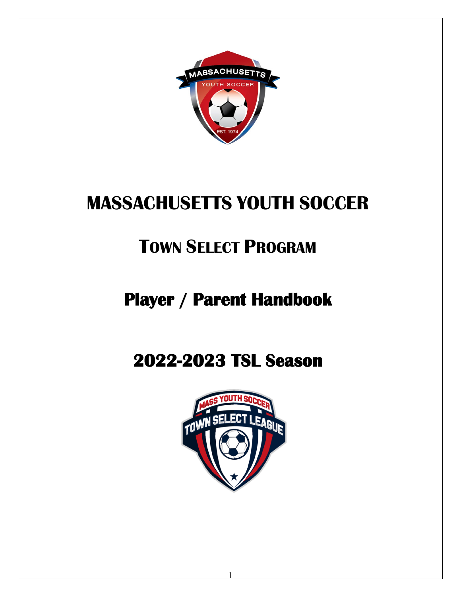

# **MASSACHUSETTS YOUTH SOCCER**

# **TOWN SELECT PROGRAM**

# **Player / Parent Handbook**

# **2022-2023 TSL Season**



1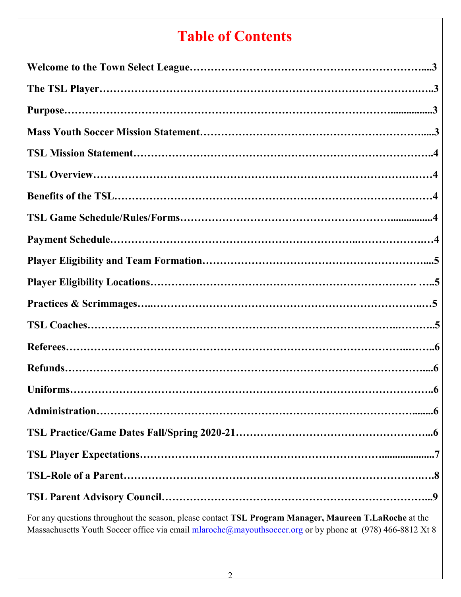## **Table of Contents**

For any questions throughout the season, please contact **TSL Program Manager, Maureen T.LaRoche** at the Massachusetts Youth Soccer office via email [mlaroche@mayouthsoccer.org](mailto:mlaroche@mayouthsoccer.org) or by phone at (978) 466-8812 Xt 8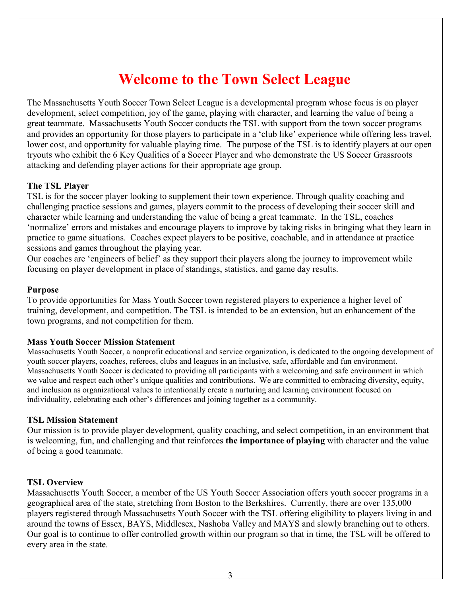## **Welcome to the Town Select League**

The Massachusetts Youth Soccer Town Select League is a developmental program whose focus is on player development, select competition, joy of the game, playing with character, and learning the value of being a great teammate. Massachusetts Youth Soccer conducts the TSL with support from the town soccer programs and provides an opportunity for those players to participate in a 'club like' experience while offering less travel, lower cost, and opportunity for valuable playing time. The purpose of the TSL is to identify players at our open tryouts who exhibit the 6 Key Qualities of a Soccer Player and who demonstrate the US Soccer Grassroots attacking and defending player actions for their appropriate age group.

## **The TSL Player**

TSL is for the soccer player looking to supplement their town experience. Through quality coaching and challenging practice sessions and games, players commit to the process of developing their soccer skill and character while learning and understanding the value of being a great teammate. In the TSL, coaches 'normalize' errors and mistakes and encourage players to improve by taking risks in bringing what they learn in practice to game situations. Coaches expect players to be positive, coachable, and in attendance at practice sessions and games throughout the playing year.

Our coaches are 'engineers of belief' as they support their players along the journey to improvement while focusing on player development in place of standings, statistics, and game day results.

### **Purpose**

To provide opportunities for Mass Youth Soccer town registered players to experience a higher level of training, development, and competition. The TSL is intended to be an extension, but an enhancement of the town programs, and not competition for them.

### **Mass Youth Soccer Mission Statement**

Massachusetts Youth Soccer, a nonprofit educational and service organization, is dedicated to the ongoing development of youth soccer players, coaches, referees, clubs and leagues in an inclusive, safe, affordable and fun environment. Massachusetts Youth Soccer is dedicated to providing all participants with a welcoming and safe environment in which we value and respect each other's unique qualities and contributions. We are committed to embracing diversity, equity, and inclusion as organizational values to intentionally create a nurturing and learning environment focused on individuality, celebrating each other's differences and joining together as a community.

### **TSL Mission Statement**

Our mission is to provide player development, quality coaching, and select competition, in an environment that is welcoming, fun, and challenging and that reinforces **the importance of playing** with character and the value of being a good teammate.

### **TSL Overview**

Massachusetts Youth Soccer, a member of the US Youth Soccer Association offers youth soccer programs in a geographical area of the state, stretching from Boston to the Berkshires. Currently, there are over 135,000 players registered through Massachusetts Youth Soccer with the TSL offering eligibility to players living in and around the towns of Essex, BAYS, Middlesex, Nashoba Valley and MAYS and slowly branching out to others. Our goal is to continue to offer controlled growth within our program so that in time, the TSL will be offered to every area in the state.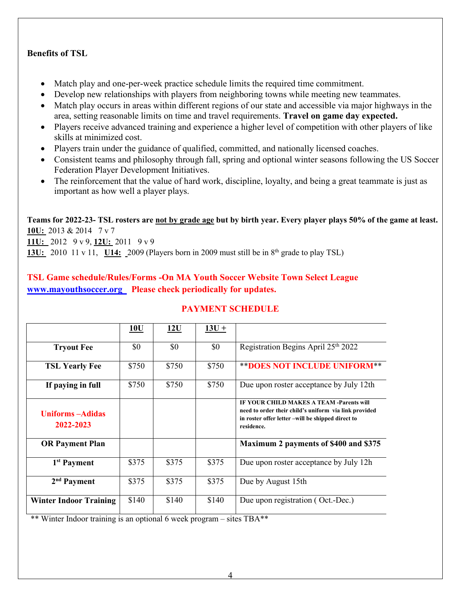## **Benefits of TSL**

- Match play and one-per-week practice schedule limits the required time commitment.
- Develop new relationships with players from neighboring towns while meeting new teammates.
- Match play occurs in areas within different regions of our state and accessible via major highways in the area, setting reasonable limits on time and travel requirements. **Travel on game day expected.**
- Players receive advanced training and experience a higher level of competition with other players of like skills at minimized cost.
- Players train under the guidance of qualified, committed, and nationally licensed coaches.
- Consistent teams and philosophy through fall, spring and optional winter seasons following the US Soccer Federation Player Development Initiatives.
- The reinforcement that the value of hard work, discipline, loyalty, and being a great teammate is just as important as how well a player plays.

**Teams for 2022-23- TSL rosters are not by grade age but by birth year. Every player plays 50% of the game at least. 10U:** 2013 & 2014 7 v 7

**11U:** 2012 9 v 9, **12U:** 2011 9 v 9

**13U:** 2010 11 v 11, **U14:** 2009 (Players born in 2009 must still be in 8<sup>th</sup> grade to play TSL)

## **TSL Game schedule/Rules/Forms -On MA Youth Soccer Website Town Select League [www.mayouthsoccer.org](http://www.mayouthsoccer.org/) Please check periodically for updates.**

|                                       | 10U   | 12U   | $13U +$ |                                                                                                                                                                             |
|---------------------------------------|-------|-------|---------|-----------------------------------------------------------------------------------------------------------------------------------------------------------------------------|
| <b>Tryout Fee</b>                     | \$0   | \$0   | \$0     | Registration Begins April 25th 2022                                                                                                                                         |
| <b>TSL Yearly Fee</b>                 | \$750 | \$750 | \$750   | <b>** DOES NOT INCLUDE UNIFORM**</b>                                                                                                                                        |
| If paying in full                     | \$750 | \$750 | \$750   | Due upon roster acceptance by July 12th                                                                                                                                     |
| <b>Uniforms</b> – Adidas<br>2022-2023 |       |       |         | <b>IF YOUR CHILD MAKES A TEAM -Parents will</b><br>need to order their child's uniform via link provided<br>in roster offer letter –will be shipped direct to<br>residence. |
| <b>OR Payment Plan</b>                |       |       |         | Maximum 2 payments of \$400 and \$375                                                                                                                                       |
| 1 <sup>st</sup> Payment               | \$375 | \$375 | \$375   | Due upon roster acceptance by July 12h                                                                                                                                      |
| $2nd$ Payment                         | \$375 | \$375 | \$375   | Due by August 15th                                                                                                                                                          |
| <b>Winter Indoor Training</b>         | \$140 | \$140 | \$140   | Due upon registration (Oct.-Dec.)                                                                                                                                           |

## **PAYMENT SCHEDULE**

\*\* Winter Indoor training is an optional 6 week program – sites TBA\*\*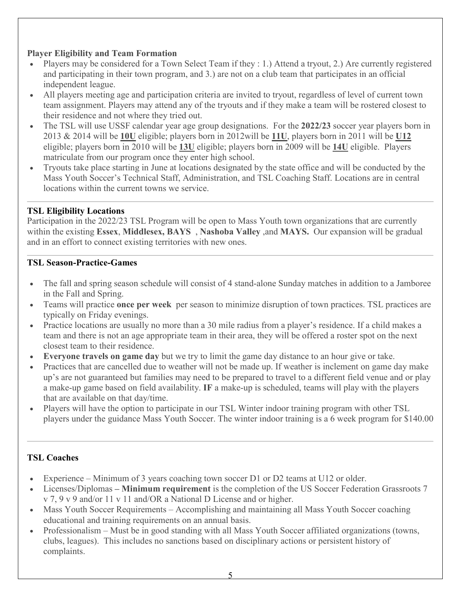## **Player Eligibility and Team Formation**

- Players may be considered for a Town Select Team if they : 1.) Attend a tryout, 2.) Are currently registered and participating in their town program, and 3.) are not on a club team that participates in an official independent league.
- All players meeting age and participation criteria are invited to tryout, regardless of level of current town team assignment. Players may attend any of the tryouts and if they make a team will be rostered closest to their residence and not where they tried out.
- The TSL will use USSF calendar year age group designations. For the **2022/23** soccer year players born in 2013 & 2014 will be **10U** eligible; players born in 2012will be **11U**, players born in 2011 will be **U12**  eligible; players born in 2010 will be **13U** eligible; players born in 2009 will be **14U** eligible. Players matriculate from our program once they enter high school.
- Tryouts take place starting in June at locations designated by the state office and will be conducted by the Mass Youth Soccer's Technical Staff, Administration, and TSL Coaching Staff. Locations are in central locations within the current towns we service.

## **TSL Eligibility Locations**

Participation in the 2022/23 TSL Program will be open to Mass Youth town organizations that are currently within the existing **Essex**, **Middlesex, BAYS** , **Nashoba Valley** ,and **MAYS.** Our expansion will be gradual and in an effort to connect existing territories with new ones.

## **TSL Season-Practice-Games**

- The fall and spring season schedule will consist of 4 stand-alone Sunday matches in addition to a Jamboree in the Fall and Spring.
- Teams will practice **once per week** per season to minimize disruption of town practices. TSL practices are typically on Friday evenings.
- Practice locations are usually no more than a 30 mile radius from a player's residence. If a child makes a team and there is not an age appropriate team in their area, they will be offered a roster spot on the next closest team to their residence.
- **Everyone travels on game day** but we try to limit the game day distance to an hour give or take.
- Practices that are cancelled due to weather will not be made up. If weather is inclement on game day make up's are not guaranteed but families may need to be prepared to travel to a different field venue and or play a make-up game based on field availability. **IF** a make-up is scheduled, teams will play with the players that are available on that day/time.
- Players will have the option to participate in our TSL Winter indoor training program with other TSL players under the guidance Mass Youth Soccer. The winter indoor training is a 6 week program for \$140.00

## **TSL Coaches**

- Experience Minimum of 3 years coaching town soccer D1 or D2 teams at U12 or older.
- Licenses/Diplomas  **Minimum requirement** is the completion of the US Soccer Federation Grassroots 7 v 7, 9 v 9 and/or 11 v 11 and/OR a National D License and or higher.
- Mass Youth Soccer Requirements Accomplishing and maintaining all Mass Youth Soccer coaching educational and training requirements on an annual basis.
- Professionalism Must be in good standing with all Mass Youth Soccer affiliated organizations (towns, clubs, leagues). This includes no sanctions based on disciplinary actions or persistent history of complaints.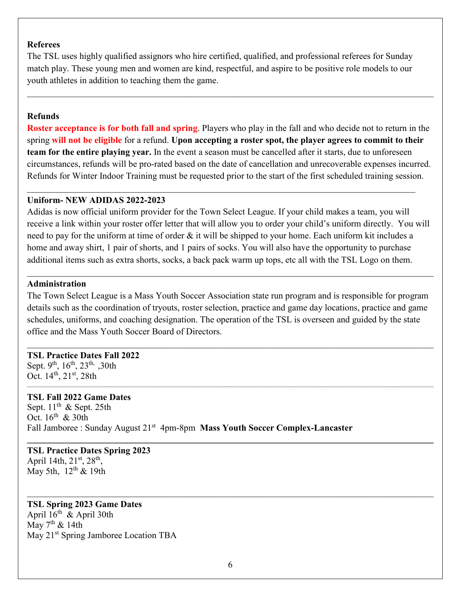#### **Referees**

The TSL uses highly qualified assignors who hire certified, qualified, and professional referees for Sunday match play. These young men and women are kind, respectful, and aspire to be positive role models to our youth athletes in addition to teaching them the game.

## **Refunds**

**Roster acceptance is for both fall and spring**. Players who play in the fall and who decide not to return in the spring **will not be eligible** for a refund. **Upon accepting a roster spot, the player agrees to commit to their team for the entire playing year.** In the event a season must be cancelled after it starts, due to unforeseen circumstances, refunds will be pro-rated based on the date of cancellation and unrecoverable expenses incurred. Refunds for Winter Indoor Training must be requested prior to the start of the first scheduled training session.

 $\_$  , and the set of the set of the set of the set of the set of the set of the set of the set of the set of the set of the set of the set of the set of the set of the set of the set of the set of the set of the set of th

## **Uniform- NEW ADIDAS 2022-2023**

Adidas is now official uniform provider for the Town Select League. If your child makes a team, you will receive a link within your roster offer letter that will allow you to order your child's uniform directly. You will need to pay for the uniform at time of order & it will be shipped to your home. Each uniform kit includes a home and away shirt, 1 pair of shorts, and 1 pairs of socks. You will also have the opportunity to purchase additional items such as extra shorts, socks, a back pack warm up tops, etc all with the TSL Logo on them.

### **Administration**

The Town Select League is a Mass Youth Soccer Association state run program and is responsible for program details such as the coordination of tryouts, roster selection, practice and game day locations, practice and game schedules, uniforms, and coaching designation. The operation of the TSL is overseen and guided by the state office and the Mass Youth Soccer Board of Directors.

## **TSL Practice Dates Fall 2022**

Sept. 9<sup>th</sup>,  $16^{th}$ ,  $23^{th}$ ,  $30th$ Oct.  $14^{th}$ ,  $21^{st}$ ,  $28th$ 

### **TSL Fall 2022 Game Dates**

Sept.  $11<sup>th</sup>$  & Sept. 25th Oct.  $16^{th}$  & 30th Fall Jamboree : Sunday August 21<sup>st</sup> 4pm-8pm **Mass Youth Soccer Complex-Lancaster** 

#### **TSL Practice Dates Spring 2023**  April 14th,  $21^{st}$ ,  $28^{th}$ , May 5th,  $12<sup>th</sup>$  & 19th

### **TSL Spring 2023 Game Dates**

April  $16^{th}$  & April 30th May  $7<sup>th</sup>$  & 14th May 21<sup>st</sup> Spring Jamboree Location TBA

**\_\_\_\_\_\_\_\_\_\_\_\_\_\_\_\_\_\_\_\_\_\_\_\_\_\_\_\_\_\_\_\_\_\_\_\_\_\_\_\_\_\_\_\_\_\_\_\_\_\_\_\_\_\_\_\_\_\_\_\_\_\_\_\_\_\_\_\_\_\_\_\_\_\_\_\_\_\_\_\_\_\_\_\_\_\_\_\_\_\_**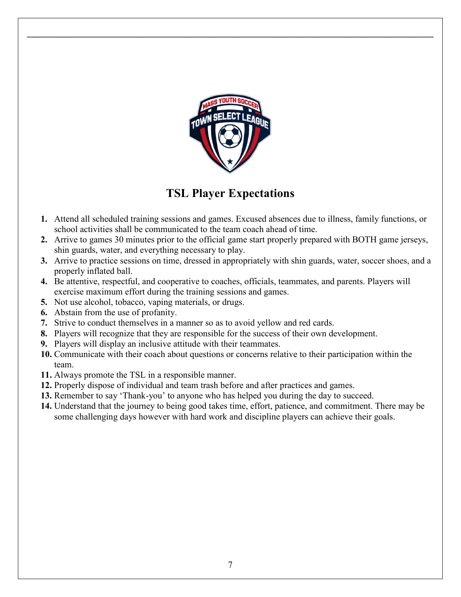

**\_\_\_\_\_\_\_\_\_\_\_\_\_\_\_\_\_\_\_\_\_\_\_\_\_\_\_\_\_\_\_\_\_\_\_\_\_\_\_\_\_\_\_\_\_\_\_\_\_\_\_\_\_\_\_\_\_\_\_\_\_\_\_\_\_\_\_\_\_\_\_\_\_\_\_\_\_\_\_\_\_\_\_\_\_\_\_\_\_\_** 

## **TSL Player Expectations**

- **1.** Attend all scheduled training sessions and games. Excused absences due to illness, family functions, or school activities shall be communicated to the team coach ahead of time.
- **2.** Arrive to games 30 minutes prior to the official game start properly prepared with BOTH game jerseys, shin guards, water, and everything necessary to play.
- **3.** Arrive to practice sessions on time, dressed in appropriately with shin guards, water, soccer shoes, and a properly inflated ball.
- **4.** Be attentive, respectful, and cooperative to coaches, officials, teammates, and parents. Players will exercise maximum effort during the training sessions and games.
- **5.** Not use alcohol, tobacco, vaping materials, or drugs.
- **6.** Abstain from the use of profanity.
- **7.** Strive to conduct themselves in a manner so as to avoid yellow and red cards.
- **8.** Players will recognize that they are responsible for the success of their own development.
- **9.** Players will display an inclusive attitude with their teammates.
- **10.** Communicate with their coach about questions or concerns relative to their participation within the team.
- **11.** Always promote the TSL in a responsible manner.
- **12.** Properly dispose of individual and team trash before and after practices and games.
- **13.** Remember to say 'Thank-you' to anyone who has helped you during the day to succeed.
- **14.** Understand that the journey to being good takes time, effort, patience, and commitment. There may be some challenging days however with hard work and discipline players can achieve their goals.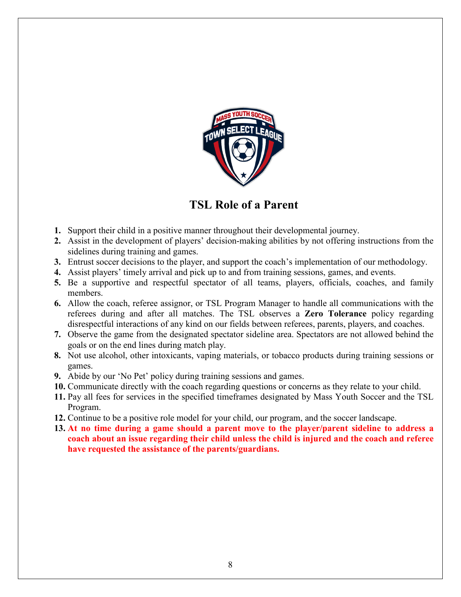

## **TSL Role of a Parent**

- **1.** Support their child in a positive manner throughout their developmental journey.
- **2.** Assist in the development of players' decision-making abilities by not offering instructions from the sidelines during training and games.
- **3.** Entrust soccer decisions to the player, and support the coach's implementation of our methodology.
- **4.** Assist players' timely arrival and pick up to and from training sessions, games, and events.
- **5.** Be a supportive and respectful spectator of all teams, players, officials, coaches, and family members.
- **6.** Allow the coach, referee assignor, or TSL Program Manager to handle all communications with the referees during and after all matches. The TSL observes a **Zero Tolerance** policy regarding disrespectful interactions of any kind on our fields between referees, parents, players, and coaches.
- **7.** Observe the game from the designated spectator sideline area. Spectators are not allowed behind the goals or on the end lines during match play.
- **8.** Not use alcohol, other intoxicants, vaping materials, or tobacco products during training sessions or games.
- **9.** Abide by our 'No Pet' policy during training sessions and games.
- **10.** Communicate directly with the coach regarding questions or concerns as they relate to your child.
- **11.** Pay all fees for services in the specified timeframes designated by Mass Youth Soccer and the TSL Program.
- **12.** Continue to be a positive role model for your child, our program, and the soccer landscape.
- **13. At no time during a game should a parent move to the player/parent sideline to address a coach about an issue regarding their child unless the child is injured and the coach and referee have requested the assistance of the parents/guardians.**